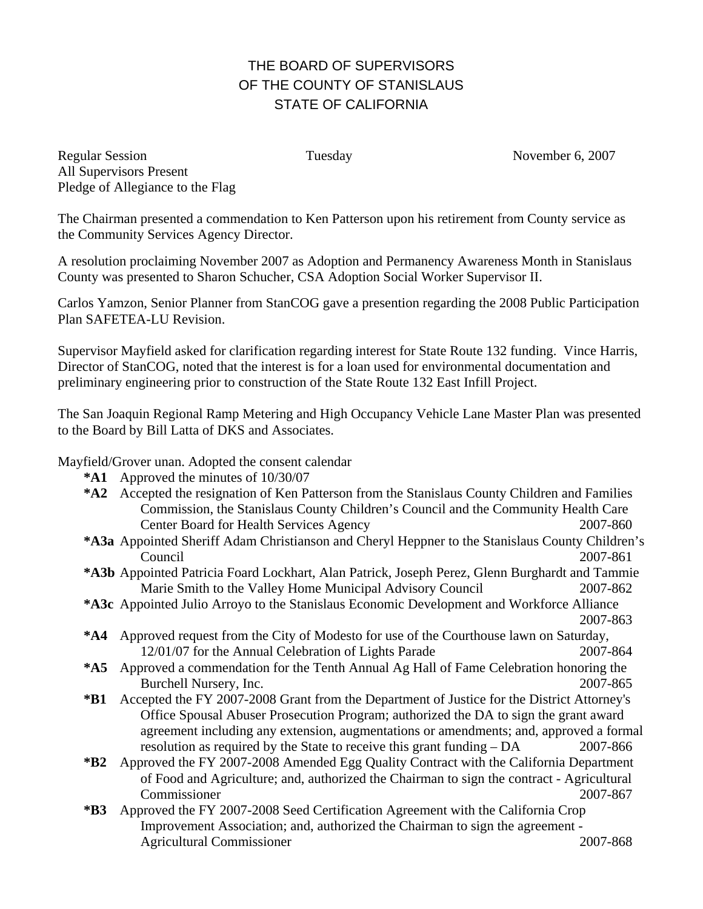## THE BOARD OF SUPERVISORS OF THE COUNTY OF STANISLAUS STATE OF CALIFORNIA

Regular Session Tuesday Tuesday November 6, 2007 All Supervisors Present Pledge of Allegiance to the Flag

The Chairman presented a commendation to Ken Patterson upon his retirement from County service as the Community Services Agency Director.

A resolution proclaiming November 2007 as Adoption and Permanency Awareness Month in Stanislaus County was presented to Sharon Schucher, CSA Adoption Social Worker Supervisor II.

Carlos Yamzon, Senior Planner from StanCOG gave a presention regarding the 2008 Public Participation Plan SAFETEA-LU Revision.

Supervisor Mayfield asked for clarification regarding interest for State Route 132 funding. Vince Harris, Director of StanCOG, noted that the interest is for a loan used for environmental documentation and preliminary engineering prior to construction of the State Route 132 East Infill Project.

The San Joaquin Regional Ramp Metering and High Occupancy Vehicle Lane Master Plan was presented to the Board by Bill Latta of DKS and Associates.

Mayfield/Grover unan. Adopted the consent calendar

- **\*A1** Approved the minutes of 10/30/07
- **\*A2** Accepted the resignation of Ken Patterson from the Stanislaus County Children and Families Commission, the Stanislaus County Children's Council and the Community Health Care Center Board for Health Services Agency 2007-860
- **\*A3a** Appointed Sheriff Adam Christianson and Cheryl Heppner to the Stanislaus County Children's Council 2007-861
- **\*A3b** Appointed Patricia Foard Lockhart, Alan Patrick, Joseph Perez, Glenn Burghardt and Tammie Marie Smith to the Valley Home Municipal Advisory Council 2007-862
- **\*A3c** Appointed Julio Arroyo to the Stanislaus Economic Development and Workforce Alliance 2007-863
- **\*A4** Approved request from the City of Modesto for use of the Courthouse lawn on Saturday, 12/01/07 for the Annual Celebration of Lights Parade 2007-864
- **\*A5** Approved a commendation for the Tenth Annual Ag Hall of Fame Celebration honoring the Burchell Nursery, Inc. 2007-865
- **\*B1** Accepted the FY 2007-2008 Grant from the Department of Justice for the District Attorney's Office Spousal Abuser Prosecution Program; authorized the DA to sign the grant award agreement including any extension, augmentations or amendments; and, approved a formal resolution as required by the State to receive this grant funding – DA 2007-866
- **\*B2** Approved the FY 2007-2008 Amended Egg Quality Contract with the California Department of Food and Agriculture; and, authorized the Chairman to sign the contract - Agricultural Commissioner 2007-867
- **\*B3** Approved the FY 2007-2008 Seed Certification Agreement with the California Crop Improvement Association; and, authorized the Chairman to sign the agreement - Agricultural Commissioner 2007-868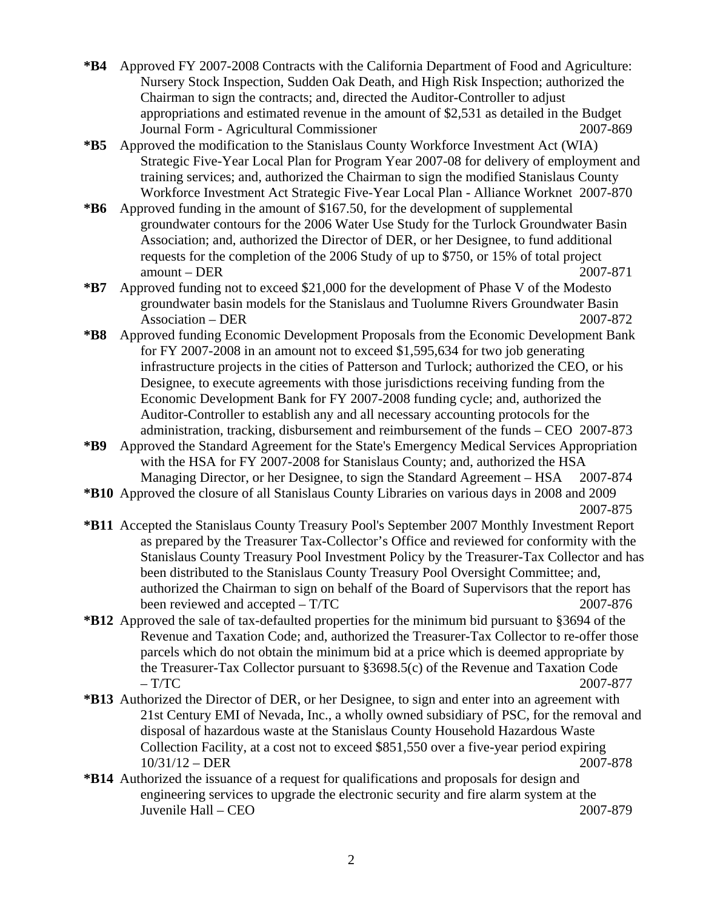- **\*B4** Approved FY 2007-2008 Contracts with the California Department of Food and Agriculture: Nursery Stock Inspection, Sudden Oak Death, and High Risk Inspection; authorized the Chairman to sign the contracts; and, directed the Auditor-Controller to adjust appropriations and estimated revenue in the amount of \$2,531 as detailed in the Budget Journal Form - Agricultural Commissioner 2007-869
- **\*B5** Approved the modification to the Stanislaus County Workforce Investment Act (WIA) Strategic Five-Year Local Plan for Program Year 2007-08 for delivery of employment and training services; and, authorized the Chairman to sign the modified Stanislaus County Workforce Investment Act Strategic Five-Year Local Plan - Alliance Worknet 2007-870
- **\*B6** Approved funding in the amount of \$167.50, for the development of supplemental groundwater contours for the 2006 Water Use Study for the Turlock Groundwater Basin Association; and, authorized the Director of DER, or her Designee, to fund additional requests for the completion of the 2006 Study of up to \$750, or 15% of total project amount – DER 2007-871
- **\*B7** Approved funding not to exceed \$21,000 for the development of Phase V of the Modesto groundwater basin models for the Stanislaus and Tuolumne Rivers Groundwater Basin Association – DER 2007-872
- **\*B8** Approved funding Economic Development Proposals from the Economic Development Bank for FY 2007-2008 in an amount not to exceed \$1,595,634 for two job generating infrastructure projects in the cities of Patterson and Turlock; authorized the CEO, or his Designee, to execute agreements with those jurisdictions receiving funding from the Economic Development Bank for FY 2007-2008 funding cycle; and, authorized the Auditor-Controller to establish any and all necessary accounting protocols for the administration, tracking, disbursement and reimbursement of the funds – CEO 2007-873
- **\*B9** Approved the Standard Agreement for the State's Emergency Medical Services Appropriation with the HSA for FY 2007-2008 for Stanislaus County; and, authorized the HSA Managing Director, or her Designee, to sign the Standard Agreement – HSA 2007-874
- **\*B10** Approved the closure of all Stanislaus County Libraries on various days in 2008 and 2009

2007-875

- **\*B11** Accepted the Stanislaus County Treasury Pool's September 2007 Monthly Investment Report as prepared by the Treasurer Tax-Collector's Office and reviewed for conformity with the Stanislaus County Treasury Pool Investment Policy by the Treasurer-Tax Collector and has been distributed to the Stanislaus County Treasury Pool Oversight Committee; and, authorized the Chairman to sign on behalf of the Board of Supervisors that the report has been reviewed and accepted – T/TC 2007-876
- **\*B12** Approved the sale of tax-defaulted properties for the minimum bid pursuant to §3694 of the Revenue and Taxation Code; and, authorized the Treasurer-Tax Collector to re-offer those parcels which do not obtain the minimum bid at a price which is deemed appropriate by the Treasurer-Tax Collector pursuant to §3698.5(c) of the Revenue and Taxation Code  $- T/TC$  2007-877
- **\*B13** Authorized the Director of DER, or her Designee, to sign and enter into an agreement with 21st Century EMI of Nevada, Inc., a wholly owned subsidiary of PSC, for the removal and disposal of hazardous waste at the Stanislaus County Household Hazardous Waste Collection Facility, at a cost not to exceed \$851,550 over a five-year period expiring 10/31/12 – DER 2007-878
- **\*B14** Authorized the issuance of a request for qualifications and proposals for design and engineering services to upgrade the electronic security and fire alarm system at the Juvenile Hall – CEO 2007-879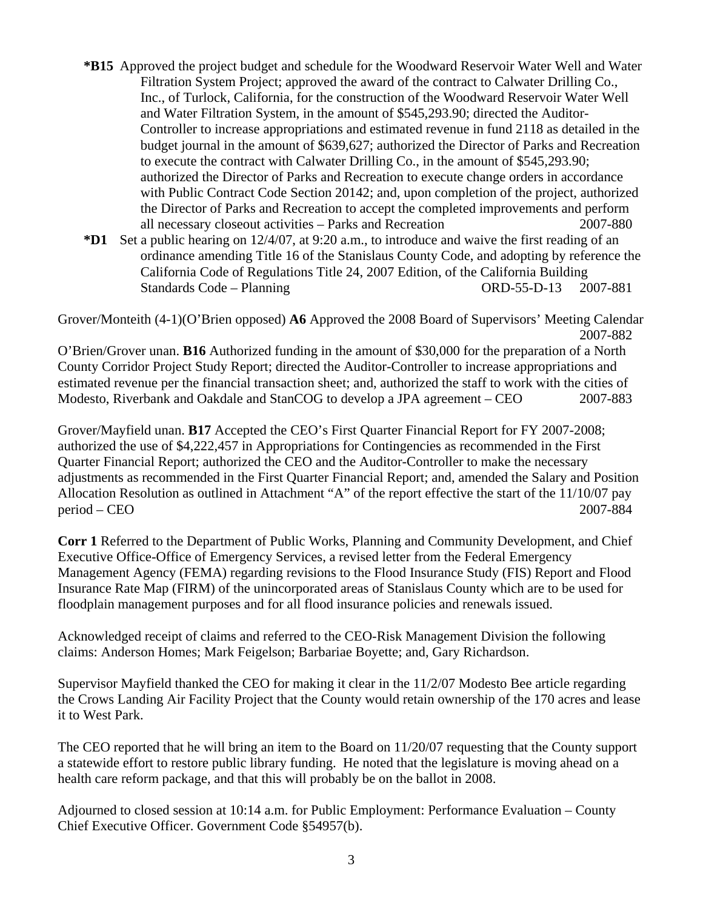- **\*B15** Approved the project budget and schedule for the Woodward Reservoir Water Well and Water Filtration System Project; approved the award of the contract to Calwater Drilling Co., Inc., of Turlock, California, for the construction of the Woodward Reservoir Water Well and Water Filtration System, in the amount of \$545,293.90; directed the Auditor-Controller to increase appropriations and estimated revenue in fund 2118 as detailed in the budget journal in the amount of \$639,627; authorized the Director of Parks and Recreation to execute the contract with Calwater Drilling Co., in the amount of \$545,293.90; authorized the Director of Parks and Recreation to execute change orders in accordance with Public Contract Code Section 20142; and, upon completion of the project, authorized the Director of Parks and Recreation to accept the completed improvements and perform all necessary closeout activities – Parks and Recreation 2007-880
- **\*D1** Set a public hearing on 12/4/07, at 9:20 a.m., to introduce and waive the first reading of an ordinance amending Title 16 of the Stanislaus County Code, and adopting by reference the California Code of Regulations Title 24, 2007 Edition, of the California Building Standards Code – Planning Company Company Company Company Company 2007-881

Grover/Monteith (4-1)(O'Brien opposed) **A6** Approved the 2008 Board of Supervisors' Meeting Calendar 2007-882

O'Brien/Grover unan. **B16** Authorized funding in the amount of \$30,000 for the preparation of a North County Corridor Project Study Report; directed the Auditor-Controller to increase appropriations and estimated revenue per the financial transaction sheet; and, authorized the staff to work with the cities of Modesto, Riverbank and Oakdale and StanCOG to develop a JPA agreement – CEO 2007-883

Grover/Mayfield unan. **B17** Accepted the CEO's First Quarter Financial Report for FY 2007-2008; authorized the use of \$4,222,457 in Appropriations for Contingencies as recommended in the First Quarter Financial Report; authorized the CEO and the Auditor-Controller to make the necessary adjustments as recommended in the First Quarter Financial Report; and, amended the Salary and Position Allocation Resolution as outlined in Attachment "A" of the report effective the start of the 11/10/07 pay period – CEO 2007-884

**Corr 1** Referred to the Department of Public Works, Planning and Community Development, and Chief Executive Office-Office of Emergency Services, a revised letter from the Federal Emergency Management Agency (FEMA) regarding revisions to the Flood Insurance Study (FIS) Report and Flood Insurance Rate Map (FIRM) of the unincorporated areas of Stanislaus County which are to be used for floodplain management purposes and for all flood insurance policies and renewals issued.

Acknowledged receipt of claims and referred to the CEO-Risk Management Division the following claims: Anderson Homes; Mark Feigelson; Barbariae Boyette; and, Gary Richardson.

Supervisor Mayfield thanked the CEO for making it clear in the 11/2/07 Modesto Bee article regarding the Crows Landing Air Facility Project that the County would retain ownership of the 170 acres and lease it to West Park.

The CEO reported that he will bring an item to the Board on 11/20/07 requesting that the County support a statewide effort to restore public library funding. He noted that the legislature is moving ahead on a health care reform package, and that this will probably be on the ballot in 2008.

Adjourned to closed session at 10:14 a.m. for Public Employment: Performance Evaluation – County Chief Executive Officer. Government Code §54957(b).